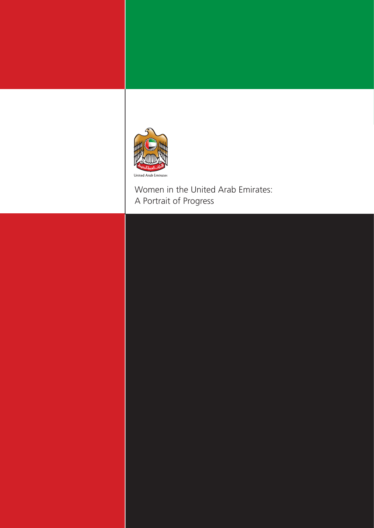

Women in the United Arab Emirates: A Portrait of Progress

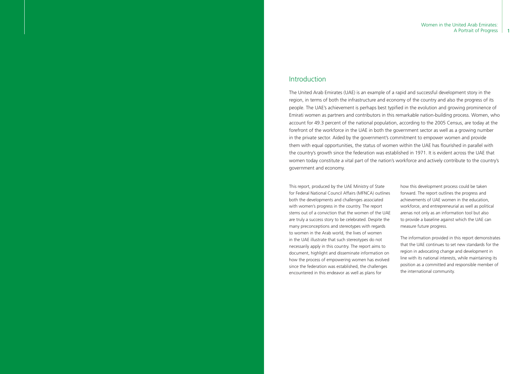# Introduction

The United Arab Emirates (UAE) is an example of a rapid and successful development story in the region, in terms of both the infrastructure and economy of the country and also the progress of its people. The UAE's achievement is perhaps best typified in the evolution and growing prominence of Emirati women as partners and contributors in this remarkable nation-building process. Women, who account for 49.3 percent of the national population, according to the 2005 Census, are today at the forefront of the workforce in the UAE in both the government sector as well as a growing number in the private sector. Aided by the government's commitment to empower women and provide them with equal opportunities, the status of women within the UAE has flourished in parallel with the country's growth since the federation was established in 1971. It is evident across the UAE that women today constitute a vital part of the nation's workforce and actively contribute to the country's government and economy.

This report, produced by the UAE Ministry of State for Federal National Council Affairs (MFNCA) outlines both the developments and challenges associated with women's progress in the country. The report stems out of a conviction that the women of the UAE are truly a success story to be celebrated. Despite the many preconceptions and stereotypes with regards to women in the Arab world, the lives of women in the UAE illustrate that such stereotypes do not necessarily apply in this country. The report aims to document, highlight and disseminate information on how the process of empowering women has evolved since the federation was established, the challenges encountered in this endeavor as well as plans for

### Women in the United Arab Emirates: A Portrait of Progress | 1

how this development process could be taken forward. The report outlines the progress and achievements of UAE women in the education, workforce, and entrepreneurial as well as political arenas not only as an information tool but also to provide a baseline against which the UAE can measure future progress.

The information provided in this report demonstrates that the UAE continues to set new standards for the region in advocating change and development in line with its national interests, while maintaining its position as a committed and responsible member of the international community.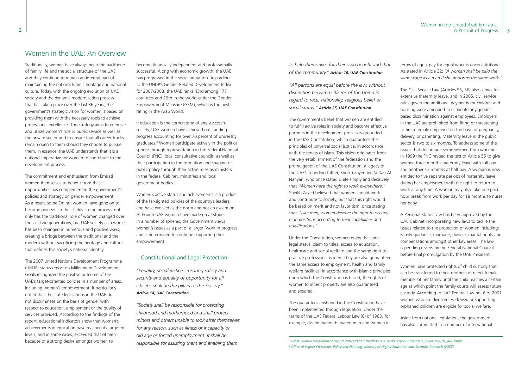### Women in the United Arab Emirates: A Portrait of Progress | 3

Traditionally, women have always been the backbone of family life and the social structure of the UAE and they continue to remain an integral part of maintaining the nation's Islamic heritage and national culture. Today, with the ongoing evolution of UAE society and the dynamic modernization process that has taken place over the last 36 years, the government's strategic vision for women is based on providing them with the necessary tools to achieve professional excellence. This strategy aims to energize and utilize women's role in public service as well as the private sector and to ensure that all career tracks remain open to them should they choose to pursue them. In essence, the UAE understands that it is a national imperative for women to contribute to the development process.

become financially independent and professionally successful. Along with economic growth, the UAE has progressed in the social arena too. According to the UNDP's Gender-Related Development Index for 2007/2008, the UAE ranks 43rd among 177 countries and 29th in the world under the Gender Empowerment Measure (GEM), which is the best rating in the Arab World.<sup>1</sup>

The commitment and enthusiasm from Emirati women themselves to benefit from these opportunities has complemented the government's policies and strategy on gender empowerment. As a result, some Emirati women have gone on to become pioneers in their fields. In the process, not only has the traditional role of women changed over the last two generations, but UAE society as a whole has been changed in numerous and positive ways, creating a bridge between the traditional and the modern without sacrificing the heritage and culture that defines this society's national identity.

The 2007 United Nations Development Programme (UNDP) status report on Millennium Development Goals recognized the positive outcome of the UAE's target-oriented policies in a number of areas, including women's empowerment. It particularly noted that the state legislations in the UAE do not discriminate on the basis of gender with respect to education, employment or the quality of services provided. According to the findings of the report, educational indicators show that women's achievements in education have reached its targeted levels, and in some cases, exceeded that of men because of a strong desire amongst women to

If education is the cornerstone of any successful society, UAE women have achieved outstanding progress accounting for over 70 percent of university graduates.2 Women participate actively in the political sphere through representation in the Federal National Council (FNC), local consultative councils, as well as their participation in the formation and shaping of public policy through their active roles as ministers in the federal Cabinet, ministries and local government bodies.

Women's active status and achievements is a product of the far-sighted policies of the country's leaders, and have evolved as the norm and not an exception. Although UAE women have made great strides in a number of spheres, the Government views women's issues as a part of a larger 'work in progress' and is determined to continue supporting their empowerment.

## I. Constitutional and Legal Protection

*"Equality, social justice, ensuring safety and security and equality of opportunity for all citizens shall be the pillars of the Society." Article 14, UAE Constitution*

*"Society shall be responsible for protecting childhood and motherhood and shall protect minors and others unable to look after themselves for any reason, such as illness or incapacity or old age or forced unemployment. It shall be responsible for assisting them and enabling them* 

*to help themselves for their own benefit and that of the community." Article 16, UAE Constitution*

*"All persons are equal before the law, without distinction between citizens of the Union in regard to race, nationality, religious belief or social status." Article 25, UAE Constitution*

The government's belief that women are entitled to fulfill active roles in society and become effective partners in the development process is grounded in the UAE Constitution, which guarantees the principles of universal social justice, in accordance with the tenets of Islam. This vision originates from the very establishment of the federation and the promulgation of the UAE Constitution, a legacy of the UAE's founding father, Sheikh Zayed bin Sultan Al Nahyan, who once stated quite simply and decisively that *"Women have the right to work everywhere."* Sheikh Zayed believed that women should work and contribute to society, but that this right would be based on merit and not favoritism, once stating that: *"Like men, women deserve the right to occupy high positions according to their capabilities and qualifications."*

Under the Constitution, women enjoy the same legal status, claim to titles, access to education, healthcare and social welfare and the same right to practice professions as men. They are also guaranteed the same access to employment, health and family welfare facilities. In accordance with Islamic principles upon which the Constitution is based, the rights of women to inherit property are also guaranteed and ensured.

The guarantees enshrined in the Constitution have been implemented through legislation. Under the terms of the UAE Federal Labour Law (8) of 1980, for example, discrimination between men and women in

terms of equal pay for equal work is unconstitutional. As stated in Article 32: *"A woman shall be paid the same wage as a man if she performs the same work."*

The Civil Service Law (Articles 55, 56) also allows for extensive maternity leave, and in 2005, civil service rules governing additional payments for children and housing were amended to eliminate any genderbased discrimination against employees. Employers in the UAE are prohibited from firing or threatening to fire a female employee on the basis of pregnancy, delivery, or parenting. Maternity leave in the public sector is two to six months. To address some of the issues that discourage some women from working, in 1999 the FNC revised the text of Article 55 to give women three months maternity leave with full pay and another six months at half pay. A woman is now entitled to five separate periods of maternity leave during her employment with the right to return to work at any time. A woman may also take one paid hour break from work per day for 18 months to nurse her baby.

A Personal Status Law has been approved by the UAE Cabinet incorporating new laws to tackle the issues related to the protection of women including: Family guidance, marriage, divorce, marital rights and compensations amongst other key areas. The law is pending review by the Federal National Council before final promulgation by the UAE President.

Women have protected rights of child custody that can be transferred to their mothers or direct female member of her family until the child reaches a certain age at which point the family courts will assess future custody. According to UAE Federal Law no. 6 of 2001 women who are divorced, widowed or supporting orphaned children are eligible for social welfare.

Aside from national legislation, the government has also committed to a number of international

# Women in the UAE: An Overview

<sup>1</sup>*UNDP Human Development Report 2007/2008 (http://hdrstats. undp.org/countries/data\_sheets/cty\_ds\_ARE.html)* 2 *Office of Higher Education, Policy and Planning, Ministry of Higher Education and Scientific Research (2007)*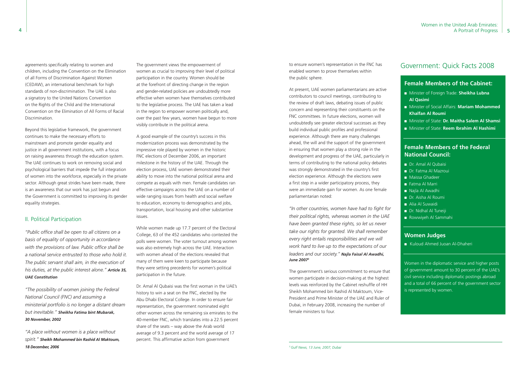The government views the empowerment of women as crucial to improving their level of political participation in the country. Women should be at the forefront of directing change in the region and gender-related policies are undoubtedly more effective when women have themselves contributed to the legislative process. The UAE has taken a lead in the region to empower women politically and, over the past few years, women have begun to more visibly contribute in the political arena.

A good example of the country's success in this modernization process was demonstrated by the impressive role played by women in the historic FNC elections of December 2006, an important milestone in the history of the UAE. Through the election process, UAE women demonstrated their ability to move into the national political arena and compete as equals with men. Female candidates ran effective campaigns across the UAE on a number of wide ranging issues from health and social welfare to education, economy to demographics and jobs, transportation, local housing and other substantive issues.

While women made up 17.7 percent of the Electoral College, 63 of the 452 candidates who contested the polls were women. The voter turnout among women was also extremely high across the UAE. Interaction with women ahead of the elections revealed that many of them were keen to participate because they were setting precedents for women's political participation in the future.

Dr. Amal Al Qubaisi was the first woman in the UAE's history to win a seat on the FNC, elected by the Abu Dhabi Electoral College. In order to ensure fair representation, the government nominated eight other women across the remaining six emirates to the 40-member FNC, which translates into a 22.5 percent share of the seats – way above the Arab world average of 9.3 percent and the world average of 17 percent. This affirmative action from government

agreements specifically relating to women and children, including the Convention on the Elimination of all Forms of Discrimination Against Women (CEDAW), an international benchmark for high standards of non-discrimination. The UAE is also a signatory to the United Nations Convention on the Rights of the Child and the International Convention on the Elimination of All Forms of Racial Discrimination.

Beyond this legislative framework, the government continues to make the necessary efforts to mainstream and promote gender equality and justice in all government institutions, with a focus on raising awareness through the education system. The UAE continues to work on removing social and psychological barriers that impede the full integration of women into the workforce, especially in the private sector. Although great strides have been made, there is an awareness that our work has just begun and the Government is committed to improving its gender equality strategies.

## II. Political Participation

*"Public office shall be open to all citizens on a basis of equality of opportunity in accordance with the provisions of law. Public office shall be a national service entrusted to those who hold it. The public servant shall aim, in the execution of his duties, at the public interest alone." Article 35, UAE Constitution*

*"The possibility of women joining the Federal National Council (FNC) and assuming a ministerial portfolio is no longer a distant dream but inevitable." Sheikha Fatima bint Mubarak, 30 November, 2002*

*"A place without women is a place without spirit." Sheikh Mohammed bin Rashid Al Maktoum, 18 December, 2006*

to ensure women's representation in the FNC has enabled women to prove themselves within the public sphere.

At present, UAE women parliamentarians are active contributors to council meetings, contributing to the review of draft laws, debating issues of public concern and representing their constituents on the FNC committees. In future elections, women will undoubtedly see greater electoral successes as they build individual public profiles and professional experience. Although there are many challenges ahead, the will and the support of the government in ensuring that women play a strong role in the development and progress of the UAE, particularly in terms of contributing to the national policy debates was strongly demonstrated in the country's first election experience. Although the elections were a first step in a wider participatory process, they were an immediate gain for women. As one female parliamentarian noted:

*"In other countries, women have had to fight for their political rights, whereas women in the UAE have been granted these rights, so let us never take our rights for granted. We shall remember every right entails responsibilities and we will work hard to live up to the expectations of our leaders and our society." Najla Faisal Al Awadhi, June 20073*

The government's serious commitment to ensure that women participate in decision-making at the highest levels was reinforced by the Cabinet reshuffle of HH Sheikh Mohammed bin Rashid Al Maktoum, Vice-President and Prime Minister of the UAE and Ruler of Dubai, in February 2008, increasing the number of female ministers to four.

# Government: Quick Facts 2008

### **Female Members of the Cabinet:**

- <sup>n</sup> Minister of Foreign Trade: **Sheikha Lubna Al Qasimi**
- <sup>n</sup> Minister of Social Affairs: **Mariam Mohammed Khalfan Al Roumi**
- <sup>n</sup> Minister of State: **Dr. Maitha Salem Al Shamsi**
- <sup>n</sup> Minister of State: **Reem Ibrahim Al Hashimi**

### **Female Members of the Federal National Council:**

- Dr. Amal Al Qubaisi
- **n** Dr. Fatma Al Mazroui
- **n** Maissa Ghadeer
- Fatma Al Marri
- Najla Al Awadhi
- **n** Dr. Aisha Al Roumi
- Alia Al Suwaidi
- **n** Dr. Nidhal Al Tuneiji
- Rowwiyeh Al Sammahi

### **Women Judges**

■ Kuloud Ahmed Juoan Al-Dhaheri

Women in the diplomatic service and higher posts of government amount to 30 percent of the UAE's civil service including diplomatic postings abroad and a total of 66 percent of the government sector is represented by women.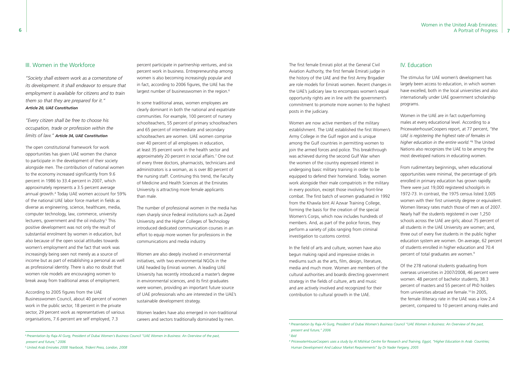### III. Women in the Workforce

*"Society shall esteem work as a cornerstone of its development. It shall endeavor to ensure that employment is available for citizens and to train them so that they are prepared for it." Article 20, UAE Constitution*

*"Every citizen shall be free to choose his occupation, trade or profession within the limits of law." Article 34, UAE Constitution*

percent participate in partnership ventures, and six percent work in business. Entrepreneurship among women is also becoming increasingly popular and in fact, according to 2006 figures, the UAE has the largest number of businesswomen in the region.<sup>6</sup>

The open constitutional framework for work opportunities has given UAE women the chance to participate in the development of their society alongside men. The contribution of national women to the economy increased significantly from 9.6 percent in 1986 to 33.4 percent in 2007, which approximately represents a 3.5 percent average annual growth.4 Today UAE women account for 59% of the national UAE labor force market in fields as diverse as engineering, science, healthcare, media, computer technology, law, commerce, university lecturers, government and the oil industry.<sup>5</sup> This positive development was not only the result of substantial enrolment by women in education, but also because of the open social attitudes towards women's employment and the fact that work was increasingly being seen not merely as a source of income but as part of establishing a personal as well as professional identity. There is also no doubt that women role models are encouraging women to break away from traditional areas of employment.

According to 2005 figures from the UAE Businesswomen Council, about 40 percent of women work in the public sector, 18 percent in the private sector, 29 percent work as representatives of various organisations, 7.6 percent are self employed, 7.3

In some traditional areas, women employees are clearly dominant in both the national and expatriate communities. For example, 100 percent of nursery schoolteachers, 55 percent of primary schoolteachers and 65 percent of intermediate and secondary schoolteachers are women. UAE women comprise over 40 percent of all employees in education, at least 35 percent work in the health sector and approximately 20 percent in social affairs.7 One out of every three doctors, pharmacists, technicians and administrators is a woman, as is over 80 percent of the nursing staff. Continuing this trend, the Faculty of Medicine and Health Sciences at the Emirates University is attracting more female applicants than male.

The number of professional women in the media has risen sharply since Federal institutions such as Zayed University and the Higher Colleges of Technology introduced dedicated communication courses in an effort to equip more women for professions in the communications and media industry.

From rudimentary beginnings, when educational opportunities were minimal, the percentage of girls enrolled in primary education has grown rapidly. There were just 19,000 registered schoolgirls in 1972-73. In contrast, the 1975 census listed 3,005 women with their first university degree or equivalent. Women literacy rates match those of men as of 2007. Nearly half the students registered in over 1,250 schools across the UAE are girls; about 75 percent of all students in the UAE University are women; and, three out of every five students in the public higher education system are women. On average, 62 percent of students enrolled in higher education and 70.4 percent of total graduates are women.<sup>9</sup>

Women are also deeply involved in environmental initiatives, with two environmental NGOs in the UAE headed by Emirati women. A leading UAE University has recently introduced a master's degree in environmental sciences, and its first graduates were women, providing an important future source of UAE professionals who are interested in the UAE's sustainable development strategy.

Women leaders have also emerged in non-traditional careers and sectors traditionally dominated by men.

The first female Emirati pilot at the General Civil Aviation Authority, the first female Emirati judge in the history of the UAE and the first Army Brigadier are role models for Emirati women. Recent changes in the UAE's judiciary law to encompass women's equal opportunity rights are in line with the government's commitment to promote more women to the highest posts in the judiciary.

Women are now active members of the military establishment. The UAE established the first Women's Army College in the Gulf region and is unique among the Gulf countries in permitting women to join the armed forces and police. This breakthrough was achieved during the second Gulf War when the women of the country expressed interest in undergoing basic military training in order to be equipped to defend their homeland. Today, women work alongside their male compatriots in the military in every position, except those involving front-line combat. The first batch of women graduated in 1992 from the Khawla bint Al Azwar Training College, forming the basis for the creation of the special Women's Corps, which now includes hundreds of members. And, as part of the police forces, they perform a variety of jobs ranging from criminal investigation to customs control.

In the field of arts and culture, women have also begun making rapid and impressive strides in mediums such as the arts, film, design, literature, media and much more. Women are members of the cultural authorities and boards directing government strategy in the fields of culture, arts and music and are actively involved and recognized for their contribution to cultural growth in the UAE.

## IV. Education

The stimulus for UAE women's development has largely been access to education, in which women have excelled, both in the local universities and also internationally under UAE government scholarship programs.

Women in the UAE are in fact outperforming males at every educational level. According to a PricewaterhouseCoopers report, at 77 percent, *"the UAE is registering the highest rate of females in higher education in the entire world."*<sup>8</sup> The United Nations also recognizes the UAE to be among the most developed nations in educating women.

Of the 278 national students graduating from overseas universities in 2007/2008, 46 percent were women. 48 percent of bachelor students, 38.3 percent of masters and 55 percent of PhD holders from universities abroad are female.<sup>10</sup> In 2005, the female illiteracy rate in the UAE was a low 2.4 percent, compared to 10 percent among males and

<sup>4</sup>*Presentation by Raja Al Gurg, President of Dubai Women's Business Council "UAE Women in Business: An Overview of the past, present and future," 2006* <sup>5</sup>*United Arab Emirates 2008 Yearbook, Trident Press, London, 2008*

<sup>6</sup>*Presentation by Raja Al Gurg, President of Dubai Women's Business Council "UAE Women in Business: An Overview of the past, present and future," 2006*

<sup>7</sup>*Ibid*

*<sup>8</sup> PricewaterHouseCoopers uses a study by Al Mishkat Centre for Research and Training, Egypt, "Higher Education In Arab Countries; Human Development And Labour Market Requirements" by Dr Nader Fergany, 2005*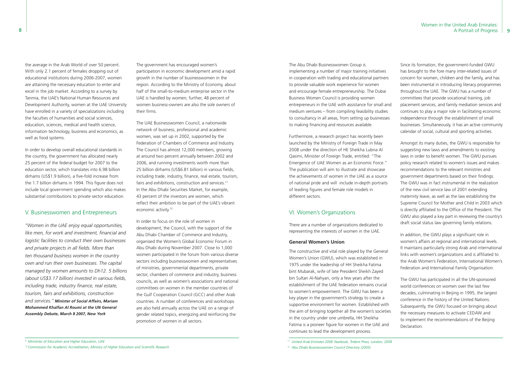### Women in the United Arab Emirates: A Portrait of Progress | 9

the average in the Arab World of over 50 percent. With only 2.1 percent of females dropping out of educational institutions during 2006-2007, women are attaining the necessary education to enter and excel in the job market. According to a survey by Tanmia, the UAE's National Human Resources and Development Authority, women at the UAE University have enrolled in a variety of specializations including the faculties of humanities and social sciences, education, sciences, medical and health science, information technology, business and economics, as well as food systems.

In order to develop overall educational standards in the country, the government has allocated nearly 25 percent of the federal budget for 2007 to the education sector, which translates into 6.98 billion dirhams (US\$1.9 billion), a five-fold increase from the 1.7 billion dirhams in 1994. This figure does not include local government spending which also makes substantial contributions to private sector education.

### V. Businesswomen and Entrepreneurs

*"Women in the UAE enjoy equal opportunities, like men, for work and investment, financial and logistic facilities to conduct their own businesses and private projects in all fields. More than ten thousand business women in the country own and run their own businesses. The capital managed by women amounts to Dh12. 5 billions (about US\$3.17 billion) invested in various fields, including trade, industry finance, real estate, tourism, fairs and exhibitions, construction and services." Minister of Social Affairs, Mariam Mohammed Khalfan Al Roumi at the UN General Assembly Debate, March 8 2007, New York*

The government has encouraged women's participation in economic development amid a rapid growth in the number of businesswomen in the region. According to the Ministry of Economy, about half of the small-to-medium enterprise sector in the UAE is handled by women; further, 48 percent of women business-owners are also the sole owners of their firms.

The UAE Businesswomen Council, a nationwide network of business, professional and academic women, was set up in 2002, supported by the Federation of Chambers of Commerce and Industry. The Council has almost 12,000 members, growing at around two percent annually between 2002 and 2006, and running investments worth more than 25 billion dirhams (US\$6.81 billion) in various fields, including trade, industry, finance, real estate, tourism, fairs and exhibitions, construction and services.<sup>11</sup> In the Abu Dhabi Securities Market, for example, 43 percent of the investors are women, which reflect their ambition to be part of the UAE's vibrant economic activity.12

In order to focus on the role of women in development, the Council, with the support of the Abu Dhabi Chamber of Commerce and Industry, organised the Women's Global Economic Forum in Abu Dhabi during November 2007. Close to 1,000 women participated in the forum from various diverse sectors including businesswomen and representatives of ministries, governmental departments, private sector, chambers of commerce and industry, business councils, as well as women's associations and national committees on women in the member countries of the Gulf Cooperation Council (GCC) and other Arab countries. A number of conferences and workshops are also held annually across the UAE on a range of gender related topics, energizing and reinforcing the promotion of women in all sectors.

The Abu Dhabi Businesswomen Group is implementing a number of major training initiatives in cooperation with trading and educational partners to provide valuable work experience for women and encourage female entrepreneurship. The Dubai Business Women Council is providing women entrepreneurs in the UAE with assistance for small and medium ventures – from compiling feasibility studies to consultancy in all areas, from setting up businesses to making financing and resources available.

Furthermore, a research project has recently been launched by the Ministry of Foreign Trade in May 2008 under the direction of HE Sheikha Lubna Al Qasimi, Minister of Foreign Trade, entitled: "The Emergence of UAE Women as an Economic Force." The publication will aim to illustrate and showcase the achievements of women in the UAE as a source of national pride and will include in-depth portraits of leading figures and female role models in different sectors.

### VI. Women's Organizations

There are a number of organizations dedicated to representing the interests of women in the UAE.

#### **General Women's Union**

The constructive and vital role played by the General Women's Union (GWU), which was established in 1975 under the leadership of HH Sheikha Fatima bint Mubarak, wife of late President Sheikh Zayed bin Sultan Al-Nahyan, only a few years after the establishment of the UAE federation remains crucial to women's empowerment. The GWU has been a key player in the government's strategy to create a supportive environment for women. Established with the aim of bringing together all the women's societies in the country under one umbrella, HH Sheikha Fatima is a pioneer figure for women in the UAE and continues to lead the development process.

Since its formation, the government-funded GWU has brought to the fore many inter-related issues of concern for women, children and the family, and has been instrumental in introducing literacy programmes throughout the UAE. The GWU has a number of committees that provide vocational training, job placement services, and family mediation services and continues to play a major role in facilitating economic independence through the establishment of small businesses. Simultaneously, it has an active community calendar of social, cultural and sporting activities.

Amongst its many duties, the GWU is responsible for suggesting new laws and amendments to existing laws in order to benefit women. The GWU pursues policy research related to women's issues and makes recommendations to the relevant ministries and government departments based on their findings. The GWU was in fact instrumental in the realization of the new civil service law of 2001 extending maternity leave, as well as the law establishing the Supreme Council for Mother and Child in 2003 which is directly affiliated to the Office of the President. The GWU also played a key part in reviewing the country's draft social status law governing family relations.

In addition, the GWU plays a significant role in women's affairs at regional and international levels. It maintains particularly strong Arab and international links with women's organizations and is affiliated to the Arab Women's Federation, International Women's Federation and International Family Organisation.

The GWU has participated in all the UN-sponsored world conferences on women over the last few decades, culminating in Beijing in 1995, the largest conference in the history of the United Nations. Subsequently, the GWU focused on bringing about the necessary measures to activate CEDAW and to implement the recommendations of the Beijing Declaration.

*<sup>11</sup> United Arab Emirates 2008 Yearbook, Trident Press, London, 2008 12 Abu Dhabi Businesswomen Council Directory (2005)*